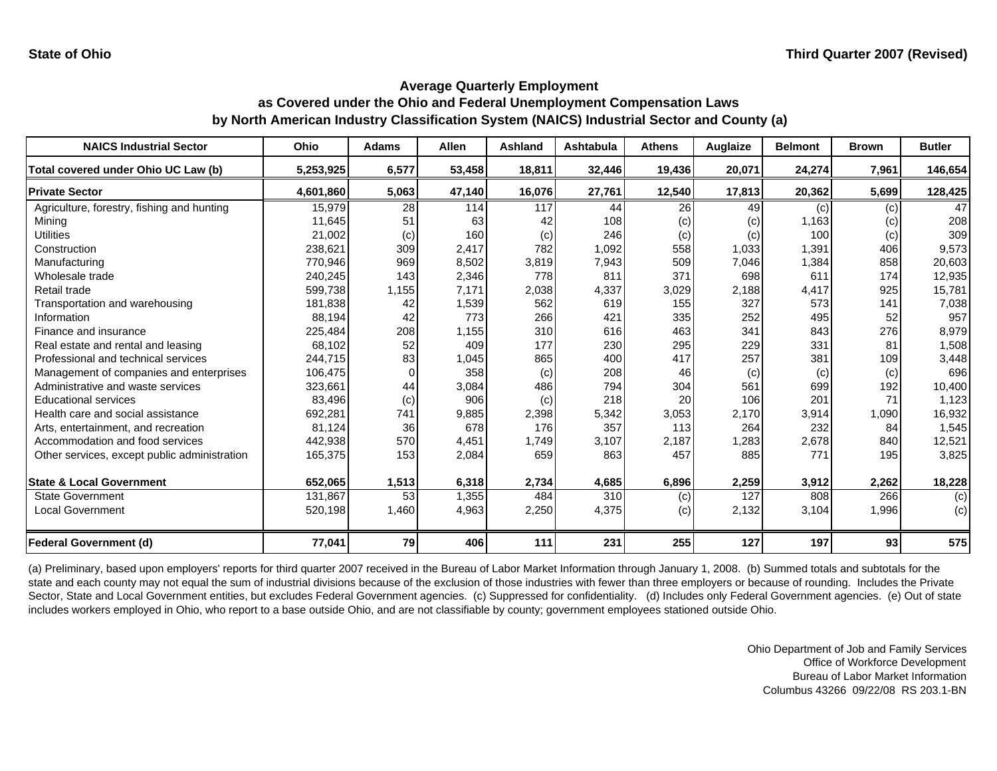| <b>NAICS Industrial Sector</b>               | Ohio      | <b>Adams</b> | <b>Allen</b> | <b>Ashland</b> | Ashtabula | <b>Athens</b> | Auglaize | <b>Belmont</b> | <b>Brown</b> | <b>Butler</b> |
|----------------------------------------------|-----------|--------------|--------------|----------------|-----------|---------------|----------|----------------|--------------|---------------|
| Total covered under Ohio UC Law (b)          | 5,253,925 | 6,577        | 53,458       | 18,811         | 32,446    | 19,436        | 20,071   | 24,274         | 7,961        | 146,654       |
| <b>Private Sector</b>                        | 4,601,860 | 5,063        | 47,140       | 16,076         | 27,761    | 12,540        | 17,813   | 20,362         | 5,699        | 128,425       |
| Agriculture, forestry, fishing and hunting   | 15,979    | 28           | 114          | 117            | 44        | 26            | 49       | (c)            | (c)          | 47            |
| Mining                                       | 11,645    | 51           | 63           | 42             | 108       | (c)           | (c)      | 1,163          | (c)          | 208           |
| <b>Utilities</b>                             | 21,002    | (c)          | 160          | (c)            | 246       | (c)           | (c)      | 100            | (c)          | 309           |
| Construction                                 | 238,621   | 309          | 2,417        | 782            | 1,092     | 558           | 1,033    | 1,391          | 406          | 9,573         |
| Manufacturing                                | 770,946   | 969          | 8,502        | 3,819          | 7,943     | 509           | 7,046    | 1,384          | 858          | 20,603        |
| Wholesale trade                              | 240,245   | 143          | 2,346        | 778            | 811       | 371           | 698      | 611            | 174          | 12,935        |
| Retail trade                                 | 599,738   | 1,155        | 7,171        | 2,038          | 4,337     | 3,029         | 2,188    | 4,417          | 925          | 15,781        |
| Transportation and warehousing               | 181,838   | 42           | 1,539        | 562            | 619       | 155           | 327      | 573            | 141          | 7,038         |
| Information                                  | 88,194    | 42           | 773          | 266            | 421       | 335           | 252      | 495            | 52           | 957           |
| Finance and insurance                        | 225,484   | 208          | 1,155        | 310            | 616       | 463           | 341      | 843            | 276          | 8,979         |
| Real estate and rental and leasing           | 68,102    | 52           | 409          | 177            | 230       | 295           | 229      | 331            | 81           | 1,508         |
| Professional and technical services          | 244,715   | 83           | 1,045        | 865            | 400       | 417           | 257      | 381            | 109          | 3,448         |
| Management of companies and enterprises      | 106,475   | $\Omega$     | 358          | (c)            | 208       | 46            | (c)      | (c)            | (c)          | 696           |
| Administrative and waste services            | 323,661   | 44           | 3,084        | 486            | 794       | 304           | 561      | 699            | 192          | 10,400        |
| <b>Educational services</b>                  | 83,496    | (c)          | 906          | (c)            | 218       | 20            | 106      | 201            | 71           | 1,123         |
| Health care and social assistance            | 692,281   | 741          | 9,885        | 2,398          | 5,342     | 3,053         | 2,170    | 3,914          | 1,090        | 16,932        |
| Arts, entertainment, and recreation          | 81,124    | 36           | 678          | 176            | 357       | 113           | 264      | 232            | 84           | 1,545         |
| Accommodation and food services              | 442,938   | 570          | 4,451        | 1,749          | 3,107     | 2,187         | 1,283    | 2,678          | 840          | 12,521        |
| Other services, except public administration | 165,375   | 153          | 2,084        | 659            | 863       | 457           | 885      | 771            | 195          | 3,825         |
| <b>State &amp; Local Government</b>          | 652,065   | 1,513        | 6,318        | 2,734          | 4,685     | 6,896         | 2,259    | 3,912          | 2,262        | 18,228        |
| <b>State Government</b>                      | 131,867   | 53           | 1,355        | 484            | 310       | (c)           | 127      | 808            | 266          | (c)           |
| <b>Local Government</b>                      | 520,198   | 1,460        | 4,963        | 2,250          | 4,375     | (c)           | 2,132    | 3,104          | 1,996        | (c)           |
| <b>Federal Government (d)</b>                | 77,041    | 79           | 406          | 111            | 231       | 255           | 127      | 197            | 93           | 575           |

(a) Preliminary, based upon employers' reports for third quarter 2007 received in the Bureau of Labor Market Information through January 1, 2008. (b) Summed totals and subtotals for the state and each county may not equal the sum of industrial divisions because of the exclusion of those industries with fewer than three employers or because of rounding. Includes the Private Sector, State and Local Government entities, but excludes Federal Government agencies. (c) Suppressed for confidentiality. (d) Includes only Federal Government agencies. (e) Out of state includes workers employed in Ohio, who report to a base outside Ohio, and are not classifiable by county; government employees stationed outside Ohio.

> Ohio Department of Job and Family Services Office of Workforce Development Bureau of Labor Market InformationColumbus 43266 09/22/08 RS 203.1-BN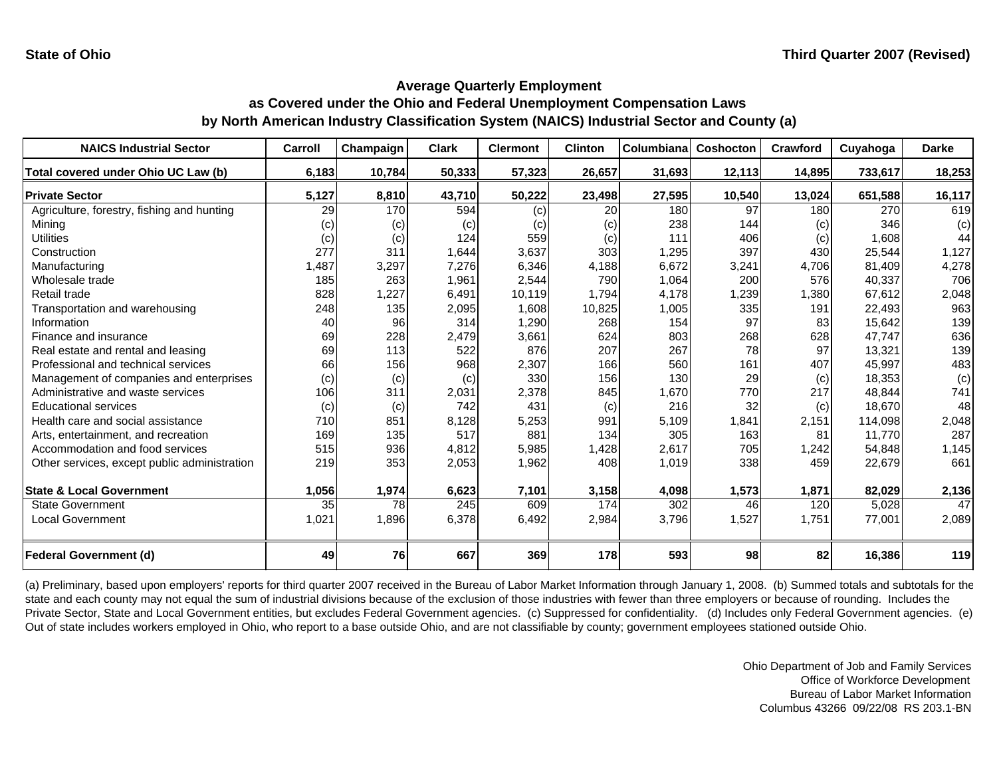| <b>NAICS Industrial Sector</b>               | Carroll         | Champaign | <b>Clark</b> | <b>Clermont</b> | <b>Clinton</b> | Columbianal | Coshocton | Crawford | Cuyahoga | <b>Darke</b> |
|----------------------------------------------|-----------------|-----------|--------------|-----------------|----------------|-------------|-----------|----------|----------|--------------|
| Total covered under Ohio UC Law (b)          | 6,183           | 10,784    | 50,333       | 57,323          | 26,657         | 31,693      | 12,113    | 14,895   | 733,617  | 18,253       |
| <b>Private Sector</b>                        | 5,127           | 8,810     | 43,710       | 50,222          | 23,498         | 27,595      | 10,540    | 13,024   | 651,588  | 16,117       |
| Agriculture, forestry, fishing and hunting   | $\overline{29}$ | 170       | 594          | (c)             | 20             | 180         | 97        | 180      | 270      | 619          |
| Minina                                       | (c)             | (c)       | (c)          | (c)             | (c)            | 238         | 144       | (c)      | 346      | (c)          |
| <b>Utilities</b>                             | (c)             | (c)       | 124          | 559             | (c)            | 111         | 406       | (c)      | 1,608    | 44           |
| Construction                                 | 277             | 311       | 1,644        | 3,637           | 303            | 1,295       | 397       | 430      | 25.544   | 1,127        |
| Manufacturing                                | 1,487           | 3,297     | 7,276        | 6,346           | 4,188          | 6,672       | 3,241     | 4,706    | 81,409   | 4,278        |
| Wholesale trade                              | 185             | 263       | 1,961        | 2,544           | 790            | 1,064       | 200       | 576      | 40,337   | 706          |
| Retail trade                                 | 828             | 1,227     | 6,491        | 10,119          | 1,794          | 4,178       | 1,239     | 1,380    | 67,612   | 2,048        |
| Transportation and warehousing               | 248             | 135       | 2,095        | 1,608           | 10,825         | 1,005       | 335       | 191      | 22,493   | 963          |
| Information                                  | 40              | 96        | 314          | 1,290           | 268            | 154         | 97        | 83       | 15,642   | 139          |
| Finance and insurance                        | 69              | 228       | 2,479        | 3,661           | 624            | 803         | 268       | 628      | 47.747   | 636          |
| Real estate and rental and leasing           | 69              | 113       | 522          | 876             | 207            | 267         | 78        | 97       | 13,321   | 139          |
| Professional and technical services          | 66              | 156       | 968          | 2,307           | 166            | 560         | 161       | 407      | 45,997   | 483          |
| Management of companies and enterprises      | (c)             | (c)       | (c)          | 330             | 156            | 130         | 29        | (c)      | 18,353   | (c)          |
| Administrative and waste services            | 106             | 311       | 2,031        | 2,378           | 845            | 1,670       | 770       | 217      | 48,844   | 741          |
| <b>Educational services</b>                  | (c)             | (c)       | 742          | 431             | (c)            | 216         | 32        | (c)      | 18.670   | 48           |
| Health care and social assistance            | 710             | 851       | 8.128        | 5,253           | 991            | 5,109       | 1,841     | 2,151    | 114,098  | 2,048        |
| Arts, entertainment, and recreation          | 169             | 135       | 517          | 881             | 134            | 305         | 163       | 81       | 11.770   | 287          |
| Accommodation and food services              | 515             | 936       | 4,812        | 5,985           | 1,428          | 2,617       | 705       | 1,242    | 54,848   | 1,145        |
| Other services, except public administration | 219             | 353       | 2,053        | 1,962           | 408            | 1,019       | 338       | 459      | 22,679   | 661          |
|                                              |                 |           |              |                 |                |             |           |          |          |              |
| <b>State &amp; Local Government</b>          | 1,056           | 1,974     | 6,623        | 7,101           | 3,158          | 4,098       | 1,573     | 1,871    | 82,029   | 2,136        |
| <b>State Government</b>                      | 35              | 78        | 245          | 609             | 174            | 302         | 46        | 120      | 5,028    | 47           |
| Local Government                             | 1,021           | 1,896     | 6,378        | 6,492           | 2,984          | 3,796       | 1,527     | 1,751    | 77,001   | 2,089        |
| <b>Federal Government (d)</b>                | 49              | 76        | 667          | 369             | 178            | 593         | 98        | 82       | 16,386   | 119          |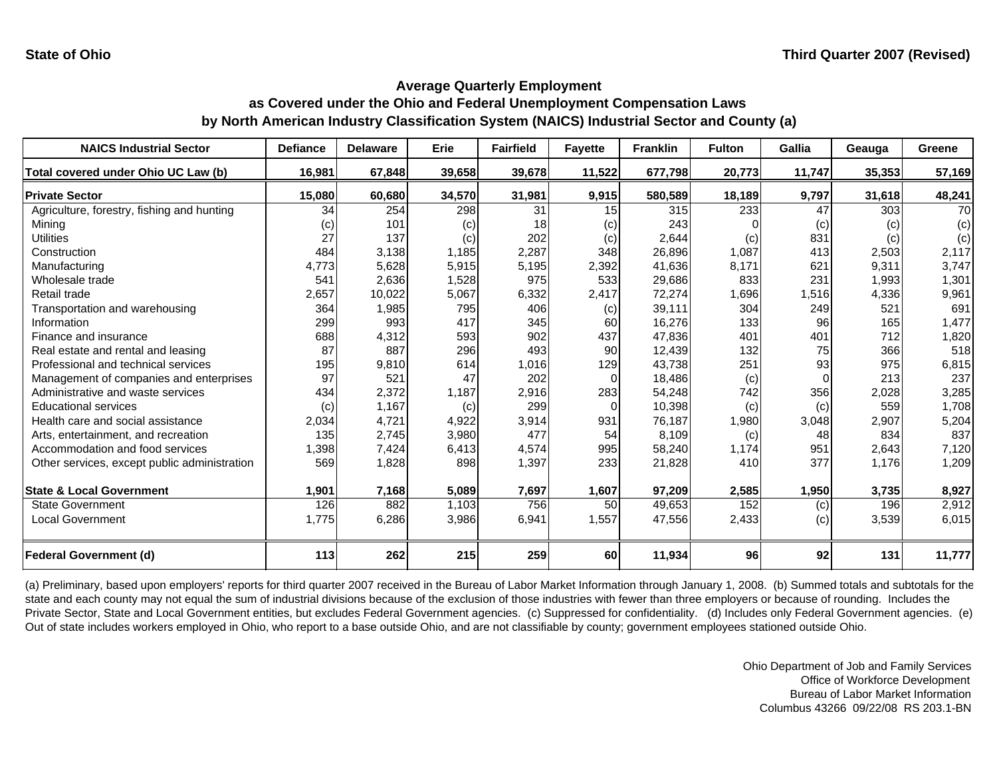| <b>NAICS Industrial Sector</b>               | <b>Defiance</b> | <b>Delaware</b> | Erie   | <b>Fairfield</b> | <b>Fayette</b> | <b>Franklin</b> | <b>Fulton</b> | <b>Gallia</b> | Geauga | Greene    |
|----------------------------------------------|-----------------|-----------------|--------|------------------|----------------|-----------------|---------------|---------------|--------|-----------|
| Total covered under Ohio UC Law (b)          | 16,981          | 67,848          | 39,658 | 39,678           | 11,522         | 677,798         | 20,773        | 11,747        | 35,353 | 57,169    |
| <b>Private Sector</b>                        | 15,080          | 60,680          | 34,570 | 31,981           | 9,915          | 580,589         | 18,189        | 9,797         | 31,618 | 48,241    |
| Agriculture, forestry, fishing and hunting   | 34              | 254             | 298    | 31               | 15             | 315             | 233           | 47            | 303    | <b>70</b> |
| Mining                                       | (c)             | 101             | (c)    | 18               | (c)            | 243             |               | (c)           | (c)    | (c)       |
| <b>Utilities</b>                             | 27              | 137             | (c)    | 202              | (c)            | 2,644           | (c)           | 831           | (c)    | (c)       |
| Construction                                 | 484             | 3,138           | 1,185  | 2,287            | 348            | 26,896          | 1,087         | 413           | 2,503  | 2,117     |
| Manufacturing                                | 4,773           | 5,628           | 5,915  | 5,195            | 2,392          | 41,636          | 8,171         | 621           | 9,311  | 3,747     |
| Wholesale trade                              | 541             | 2,636           | 1,528  | 975              | 533            | 29,686          | 833           | 231           | 1,993  | 1,301     |
| Retail trade                                 | 2,657           | 10,022          | 5,067  | 6,332            | 2,417          | 72,274          | 1,696         | 1,516         | 4,336  | 9,961     |
| Transportation and warehousing               | 364             | 1,985           | 795    | 406              | (c)            | 39,111          | 304           | 249           | 521    | 691       |
| Information                                  | 299             | 993             | 417    | 345              | 60             | 16,276          | 133           | 96            | 165    | 1,477     |
| Finance and insurance                        | 688             | 4,312           | 593    | 902              | 437            | 47,836          | 401           | 401           | 712    | 1,820     |
| Real estate and rental and leasing           | 87              | 887             | 296    | 493              | 90             | 12,439          | 132           | 75            | 366    | 518       |
| Professional and technical services          | 195             | 9,810           | 614    | 1,016            | 129            | 43,738          | 251           | 93            | 975    | 6,815     |
| Management of companies and enterprises      | 97              | 521             | 47     | 202              | $\Omega$       | 18,486          | (c)           | $\Omega$      | 213    | 237       |
| Administrative and waste services            | 434             | 2,372           | 1,187  | 2,916            | 283            | 54,248          | 742           | 356           | 2,028  | 3,285     |
| <b>Educational services</b>                  | (c)             | 1,167           | (c)    | 299              | $\Omega$       | 10,398          | (c)           | (c)           | 559    | 1,708     |
| Health care and social assistance            | 2,034           | 4,721           | 4,922  | 3,914            | 931            | 76,187          | 1,980         | 3,048         | 2,907  | 5,204     |
| Arts, entertainment, and recreation          | 135             | 2,745           | 3,980  | 477              | 54             | 8,109           | (c)           | 48            | 834    | 837       |
| Accommodation and food services              | 1,398           | 7,424           | 6,413  | 4,574            | 995            | 58,240          | 1,174         | 951           | 2,643  | 7,120     |
| Other services, except public administration | 569             | 1,828           | 898    | 1,397            | 233            | 21,828          | 410           | 377           | 1,176  | 1,209     |
| <b>State &amp; Local Government</b>          | 1,901           | 7,168           | 5,089  | 7,697            | 1,607          | 97,209          | 2,585         | 1,950         | 3,735  | 8,927     |
| <b>State Government</b>                      | 126             | 882             | 1,103  | 756              | 50             | 49,653          | 152           | (c)           | 196    | 2,912     |
| <b>Local Government</b>                      | 1,775           | 6,286           | 3,986  | 6,941            | 1,557          | 47,556          | 2,433         | (c)           | 3,539  | 6,015     |
| <b>Federal Government (d)</b>                | 113             | 262             | 215    | 259              | <b>60</b>      | 11,934          | 96            | 92            | 131    | 11,777    |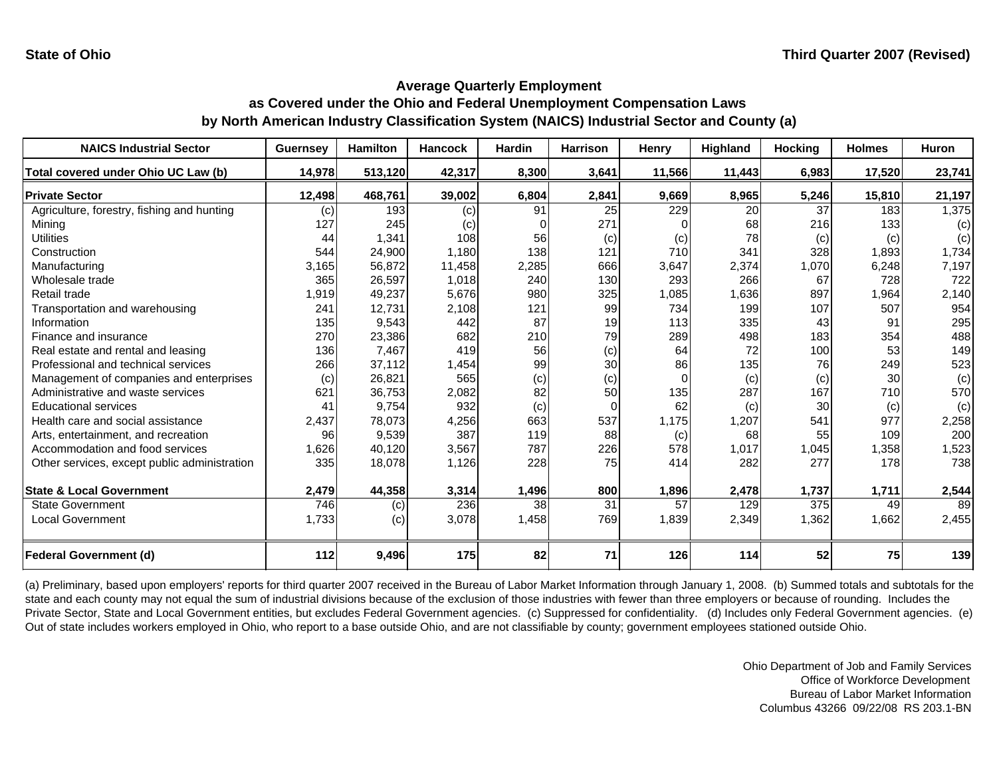| <b>NAICS Industrial Sector</b>               | <b>Guernsey</b> | <b>Hamilton</b> | <b>Hancock</b> | Hardin | <b>Harrison</b> | Henry  | Highland | <b>Hocking</b> | <b>Holmes</b> | <b>Huron</b> |
|----------------------------------------------|-----------------|-----------------|----------------|--------|-----------------|--------|----------|----------------|---------------|--------------|
| Total covered under Ohio UC Law (b)          | 14,978          | 513,120         | 42,317         | 8,300  | 3,641           | 11,566 | 11,443   | 6,983          | 17,520        | 23,741       |
| <b>Private Sector</b>                        | 12,498          | 468,761         | 39,002         | 6,804  | 2,841           | 9,669  | 8,965    | 5,246          | 15,810        | 21,197       |
| Agriculture, forestry, fishing and hunting   | (c)             | 193             | (c)            | 91     | 25              | 229    | 20       | 37             | 183           | 1,375        |
| Mining                                       | 127             | 245             | (c)            |        | 271             |        | 68       | 216            | 133           | (c)          |
| <b>Utilities</b>                             | 44              | 1,341           | 108            | 56     | (c)             | (c)    | 78       | (c)            | (c)           | (c)          |
| Construction                                 | 544             | 24,900          | 1,180          | 138    | 121             | 710    | 341      | 328            | 1,893         | 1,734        |
| Manufacturing                                | 3,165           | 56,872          | 11,458         | 2,285  | 666             | 3,647  | 2,374    | 1,070          | 6,248         | 7,197        |
| Wholesale trade                              | 365             | 26,597          | 1,018          | 240    | 130             | 293    | 266      | 67             | 728           | 722          |
| Retail trade                                 | 1,919           | 49,237          | 5,676          | 980    | 325             | 1,085  | 1,636    | 897            | 1,964         | 2,140        |
| Transportation and warehousing               | 241             | 12,731          | 2,108          | 121    | 99              | 734    | 199      | 107            | 507           | 954          |
| Information                                  | 135             | 9,543           | 442            | 87     | 19              | 113    | 335      | 43             | 91            | 295          |
| Finance and insurance                        | 270             | 23,386          | 682            | 210    | 79              | 289    | 498      | 183            | 354           | 488          |
| Real estate and rental and leasing           | 136             | 7,467           | 419            | 56     | (c)             | 64     | 72       | 100            | 53            | 149          |
| Professional and technical services          | 266             | 37,112          | 1,454          | 99     | 30              | 86     | 135      | 76             | 249           | 523          |
| Management of companies and enterprises      | (c)             | 26,821          | 565            | (c)    | (c)             | 0      | (c)      | (c)            | 30            | (c)          |
| Administrative and waste services            | 621             | 36,753          | 2,082          | 82     | 50              | 135    | 287      | 167            | 710           | 570          |
| <b>Educational services</b>                  | 41              | 9,754           | 932            | (c)    |                 | 62     | (c)      | 30             | (c)           | (c)          |
| Health care and social assistance            | 2,437           | 78,073          | 4,256          | 663    | 537             | 1,175  | 1,207    | 541            | 977           | 2,258        |
| Arts, entertainment, and recreation          | 96              | 9,539           | 387            | 119    | 88              | (c)    | 68       | 55             | 109           | 200          |
| Accommodation and food services              | 1,626           | 40,120          | 3,567          | 787    | 226             | 578    | 1,017    | 1,045          | 1,358         | 1,523        |
| Other services, except public administration | 335             | 18,078          | 1,126          | 228    | 75              | 414    | 282      | 277            | 178           | 738          |
| <b>State &amp; Local Government</b>          | 2,479           | 44,358          | 3,314          | 1,496  | 800             | 1,896  | 2,478    | 1,737          | 1,711         | 2,544        |
| <b>State Government</b>                      | 746             | (c)             | 236            | 38     | $\overline{31}$ | 57     | 129      | 375            | 49            | 89           |
| <b>Local Government</b>                      | 1,733           | (c)             | 3,078          | 1,458  | 769             | 1,839  | 2,349    | 1,362          | 1,662         | 2,455        |
| <b>Federal Government (d)</b>                | 112             | 9,496           | 175            | 82     | 71              | 126    | 114      | 52             | 75            | 139          |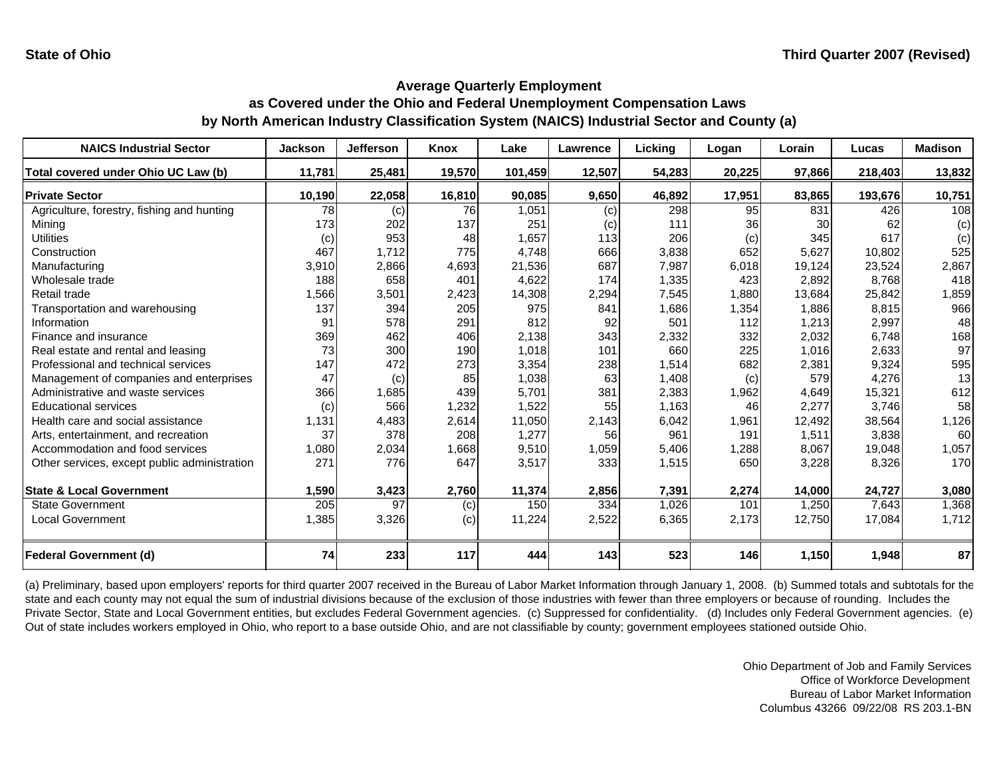| <b>NAICS Industrial Sector</b>               | <b>Jackson</b> | <b>Jefferson</b> | <b>Knox</b> | Lake    | Lawrence | Licking | Logan  | Lorain | Lucas   | <b>Madison</b> |
|----------------------------------------------|----------------|------------------|-------------|---------|----------|---------|--------|--------|---------|----------------|
| Total covered under Ohio UC Law (b)          | 11,781         | 25,481           | 19,570      | 101,459 | 12,507   | 54,283  | 20,225 | 97,866 | 218,403 | 13,832         |
| <b>Private Sector</b>                        | 10,190         | 22,058           | 16,810      | 90,085  | 9,650    | 46,892  | 17,951 | 83,865 | 193,676 | 10,751         |
| Agriculture, forestry, fishing and hunting   | 78             | (c)              | 76          | 1,051   | (c)      | 298     | 95     | 831    | 426     | 108            |
| Mining                                       | 173            | 202              | 137         | 251     | (c)      | 111     | 36     | 30     | 62      | (c)            |
| <b>Utilities</b>                             | (c)            | 953              | 48          | 1,657   | 113      | 206     | (c)    | 345    | 617     | (c)            |
| Construction                                 | 467            | 1,712            | 775         | 4,748   | 666      | 3,838   | 652    | 5,627  | 10,802  | 525            |
| Manufacturing                                | 3,910          | 2,866            | 4,693       | 21,536  | 687      | 7,987   | 6,018  | 19,124 | 23,524  | 2,867          |
| Wholesale trade                              | 188            | 658              | 401         | 4,622   | 174      | 1,335   | 423    | 2,892  | 8,768   | 418            |
| Retail trade                                 | 1,566          | 3,501            | 2,423       | 14,308  | 2,294    | 7,545   | 1,880  | 13,684 | 25,842  | 1,859          |
| Transportation and warehousing               | 137            | 394              | 205         | 975     | 841      | 1,686   | 1,354  | 1,886  | 8,815   | 966            |
| Information                                  | 91             | 578              | 291         | 812     | 92       | 501     | 112    | 1,213  | 2,997   | 48             |
| Finance and insurance                        | 369            | 462              | 406         | 2,138   | 343      | 2,332   | 332    | 2,032  | 6.748   | 168            |
| Real estate and rental and leasing           | 73             | 300              | 190         | 1,018   | 101      | 660     | 225    | 1,016  | 2,633   | 97             |
| Professional and technical services          | 147            | 472              | 273         | 3,354   | 238      | 1,514   | 682    | 2,381  | 9,324   | 595            |
| Management of companies and enterprises      | 47             | (c)              | 85          | 1,038   | 63       | 1,408   | (c)    | 579    | 4,276   | 13             |
| Administrative and waste services            | 366            | 1,685            | 439         | 5,701   | 381      | 2,383   | 1,962  | 4,649  | 15,321  | 612            |
| <b>Educational services</b>                  | (c)            | 566              | 1,232       | 1,522   | 55       | 1,163   | 46     | 2,277  | 3,746   | 58             |
| Health care and social assistance            | 1,131          | 4,483            | 2,614       | 11,050  | 2,143    | 6,042   | 1,961  | 12,492 | 38,564  | 1,126          |
| Arts, entertainment, and recreation          | 37             | 378              | 208         | 1,277   | 56       | 961     | 191    | 1,511  | 3,838   | 60             |
| Accommodation and food services              | 1,080          | 2,034            | 1,668       | 9,510   | 1,059    | 5,406   | 1,288  | 8,067  | 19,048  | 1,057          |
| Other services, except public administration | 271            | 776              | 647         | 3,517   | 333      | 1,515   | 650    | 3,228  | 8,326   | 170            |
| <b>State &amp; Local Government</b>          | 1,590          | 3,423            | 2,760       | 11,374  | 2,856    | 7,391   | 2,274  | 14,000 | 24,727  | 3,080          |
| <b>State Government</b>                      | 205            | 97               | (c)         | 150     | 334      | 1,026   | 101    | 1,250  | 7,643   | 1,368          |
| <b>Local Government</b>                      | 1,385          | 3,326            | (c)         | 11,224  | 2,522    | 6,365   | 2,173  | 12,750 | 17,084  | 1,712          |
| <b>Federal Government (d)</b>                | 74             | 233              | 117         | 444     | 143      | 523     | 146    | 1,150  | 1,948   | 87             |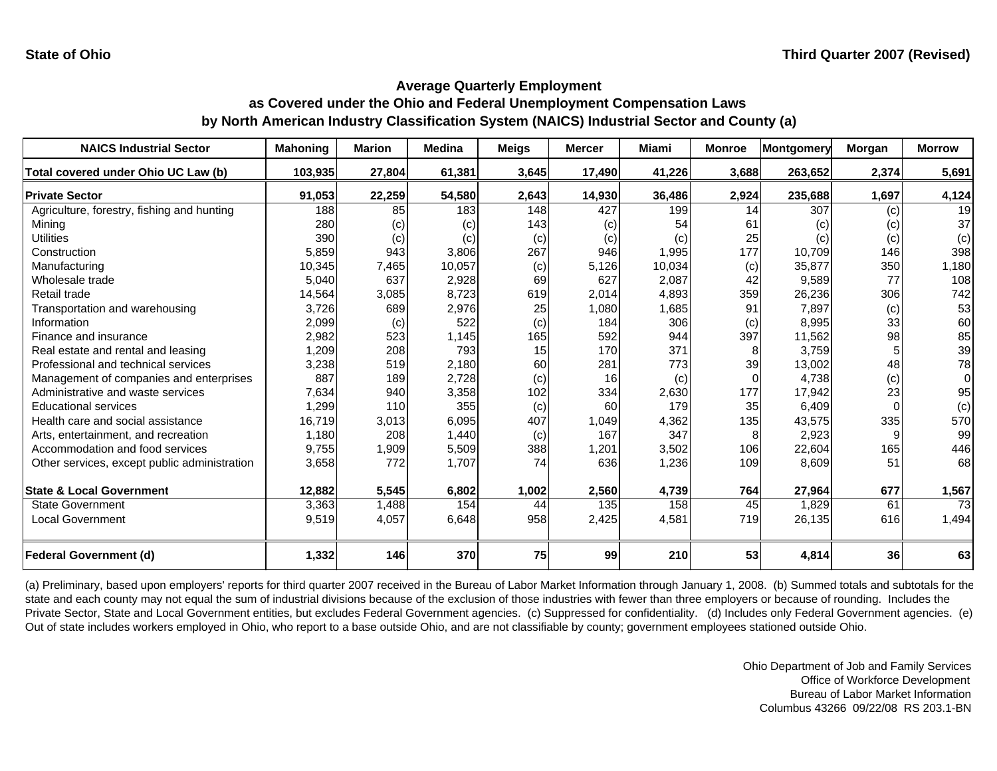| <b>NAICS Industrial Sector</b>               | <b>Mahoning</b> | <b>Marion</b> | <b>Medina</b> | <b>Meigs</b> | <b>Mercer</b> | <b>Miami</b> | <b>Monroe</b> | Montgomery | <b>Morgan</b> | <b>Morrow</b> |
|----------------------------------------------|-----------------|---------------|---------------|--------------|---------------|--------------|---------------|------------|---------------|---------------|
| Total covered under Ohio UC Law (b)          | 103,935         | 27,804        | 61,381        | 3,645        | 17,490        | 41,226       | 3,688         | 263,652    | 2,374         | 5,691         |
| <b>Private Sector</b>                        | 91,053          | 22,259        | 54,580        | 2,643        | 14,930        | 36,486       | 2,924         | 235,688    | 1,697         | 4,124         |
| Agriculture, forestry, fishing and hunting   | 188             | 85            | 183           | 148          | 427           | 199          | 14            | 307        | (c)           | 19            |
| Mining                                       | 280             | (c)           | (c)           | 143          | (c)           | 54           | 61            | (c)        | (c)           | 37            |
| <b>Utilities</b>                             | 390             | (c)           | (c)           | (c)          | (c)           | (c)          | 25            | (c)        | (c)           | (c)           |
| Construction                                 | 5,859           | 943           | 3,806         | 267          | 946           | 1,995        | 177           | 10,709     | 146           | 398           |
| Manufacturing                                | 10,345          | 7,465         | 10,057        | (c)          | 5,126         | 10,034       | (c)           | 35,877     | 350           | 1,180         |
| Wholesale trade                              | 5,040           | 637           | 2,928         | 69           | 627           | 2,087        | 42            | 9,589      | 77            | 108           |
| Retail trade                                 | 14,564          | 3,085         | 8,723         | 619          | 2,014         | 4,893        | 359           | 26,236     | 306           | 742           |
| Transportation and warehousing               | 3,726           | 689           | 2,976         | 25           | 1,080         | 1,685        | 91            | 7,897      | (c)           | 53            |
| Information                                  | 2,099           | (c)           | 522           | (c)          | 184           | 306          | (c)           | 8,995      | 33            | 60            |
| Finance and insurance                        | 2,982           | 523           | 1,145         | 165          | 592           | 944          | 397           | 11,562     | 98            | 85            |
| Real estate and rental and leasing           | 1,209           | 208           | 793           | 15           | 170           | 371          | 8             | 3,759      | 5             | 39            |
| Professional and technical services          | 3,238           | 519           | 2,180         | 60           | 281           | 773          | 39            | 13,002     | 48            | 78            |
| Management of companies and enterprises      | 887             | 189           | 2,728         | (c)          | 16            | (c)          | $\Omega$      | 4,738      | (c)           | $\Omega$      |
| Administrative and waste services            | 7,634           | 940           | 3,358         | 102          | 334           | 2,630        | 177           | 17,942     | 23            | 95            |
| <b>Educational services</b>                  | 1,299           | 110           | 355           | (c)          | 60            | 179          | 35            | 6.409      | $\Omega$      | (c)           |
| Health care and social assistance            | 16,719          | 3,013         | 6,095         | 407          | 1,049         | 4,362        | 135           | 43,575     | 335           | 570           |
| Arts, entertainment, and recreation          | 1,180           | 208           | 1,440         | (c)          | 167           | 347          | 8             | 2,923      | 9             | 99            |
| Accommodation and food services              | 9,755           | 1,909         | 5,509         | 388          | 1,201         | 3,502        | 106           | 22,604     | 165           | 446           |
| Other services, except public administration | 3,658           | 772           | 1,707         | 74           | 636           | 1,236        | 109           | 8,609      | 51            | 68            |
| <b>State &amp; Local Government</b>          | 12,882          | 5,545         | 6,802         | 1,002        |               | 4,739        | 764           | 27,964     | 677           |               |
| <b>State Government</b>                      | 3,363           | 1,488         | 154           | 44           | 2,560<br>135  | 158          | 45            | 1,829      | 61            | 1,567<br>73   |
|                                              |                 |               |               |              |               |              |               |            |               |               |
| <b>Local Government</b>                      | 9,519           | 4,057         | 6,648         | 958          | 2,425         | 4,581        | 719           | 26,135     | 616           | 1,494         |
| Federal Government (d)                       | 1,332           | 146           | 370           | 75           | 99            | 210          | 53            | 4,814      | 36            | 63            |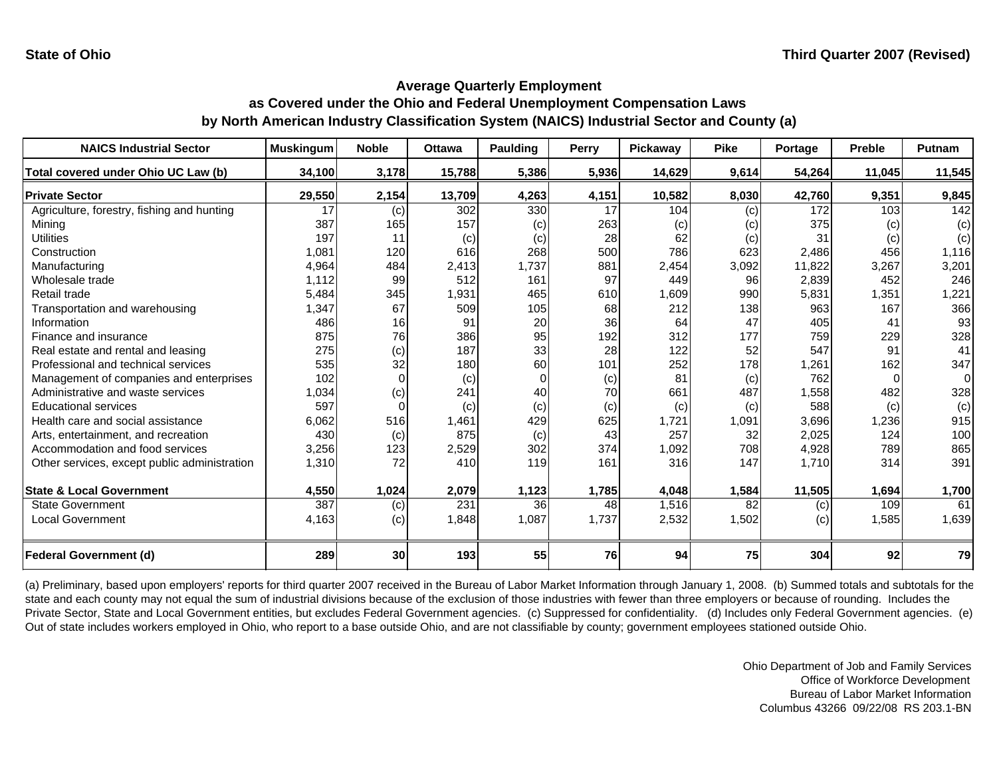| <b>NAICS Industrial Sector</b>               | <b>Muskingum</b> | <b>Noble</b> | <b>Ottawa</b> | <b>Paulding</b> | Perry | Pickaway | <b>Pike</b> | Portage | <b>Preble</b> | Putnam         |
|----------------------------------------------|------------------|--------------|---------------|-----------------|-------|----------|-------------|---------|---------------|----------------|
| Total covered under Ohio UC Law (b)          | 34,100           | 3,178        | 15,788        | 5,386           | 5,936 | 14,629   | 9,614       | 54,264  | 11,045        | 11,545         |
| <b>Private Sector</b>                        | 29,550           | 2,154        | 13,709        | 4,263           | 4,151 | 10,582   | 8,030       | 42,760  | 9,351         | 9,845          |
| Agriculture, forestry, fishing and hunting   | 17               | (c)          | 302           | 330             | 17    | 104      | (c)         | 172     | 103           | 142            |
| Minina                                       | 387              | 165          | 157           | (c)             | 263   | (c)      | (c)         | 375     | (c)           | (c)            |
| <b>Utilities</b>                             | 197              | 11           | (c)           | (c)             | 28    | 62       | (c)         | 31      | (c)           | (c)            |
| Construction                                 | 1,081            | 120          | 616           | 268             | 500   | 786      | 623         | 2,486   | 456           | 1,116          |
| Manufacturing                                | 4,964            | 484          | 2,413         | 1,737           | 881   | 2,454    | 3,092       | 11,822  | 3,267         | 3,201          |
| Wholesale trade                              | 1,112            | 99           | 512           | 161             | 97    | 449      | 96          | 2,839   | 452           | 246            |
| Retail trade                                 | 5,484            | 345          | 1,931         | 465             | 610   | 1,609    | 990         | 5,831   | 1,351         | 1,221          |
| Transportation and warehousing               | 1,347            | 67           | 509           | 105             | 68    | 212      | 138         | 963     | 167           | 366            |
| Information                                  | 486              | 16           | 91            | 20              | 36    | 64       | 47          | 405     | 41            | 93             |
| Finance and insurance                        | 875              | 76           | 386           | 95              | 192   | 312      | 177         | 759     | 229           | 328            |
| Real estate and rental and leasing           | 275              | (c)          | 187           | 33              | 28    | 122      | 52          | 547     | 91            | 41             |
| Professional and technical services          | 535              | 32           | 180           | 60              | 101   | 252      | 178         | 1,261   | 162           | 347            |
| Management of companies and enterprises      | 102              | $\Omega$     | (c)           | $\Omega$        | (c)   | 81       | (c)         | 762     | $\Omega$      | $\overline{0}$ |
| Administrative and waste services            | 1,034            | (c)          | 241           | 40              | 70    | 661      | 487         | 1,558   | 482           | 328            |
| <b>Educational services</b>                  | 597              |              | (c)           | (c)             | (c)   | (c)      | (c)         | 588     | (c)           | (c)            |
| Health care and social assistance            | 6,062            | 516          | 1,461         | 429             | 625   | 1,721    | 1,091       | 3,696   | 1,236         | 915            |
| Arts, entertainment, and recreation          | 430              | (c)          | 875           | (c)             | 43    | 257      | 32          | 2,025   | 124           | 100            |
| Accommodation and food services              | 3,256            | 123          | 2,529         | 302             | 374   | 1,092    | 708         | 4,928   | 789           | 865            |
| Other services, except public administration | 1,310            | 72           | 410           | 119             | 161   | 316      | 147         | 1,710   | 314           | 391            |
| <b>State &amp; Local Government</b>          | 4,550            | 1,024        | 2,079         | 1,123           | 1,785 | 4,048    | 1,584       | 11,505  | 1,694         | 1,700          |
| <b>State Government</b>                      | 387              | (c)          | 231           | 36              | 48    | 1,516    | 82          | (c)     | 109           | 61             |
| <b>Local Government</b>                      | 4,163            | (c)          | 1,848         | 1,087           | 1,737 | 2,532    | 1,502       | (c)     | 1,585         | 1,639          |
| <b>Federal Government (d)</b>                | 289              | 30           | 193           | 55              | 76    | 94       | 75          | 304     | 92            | 79             |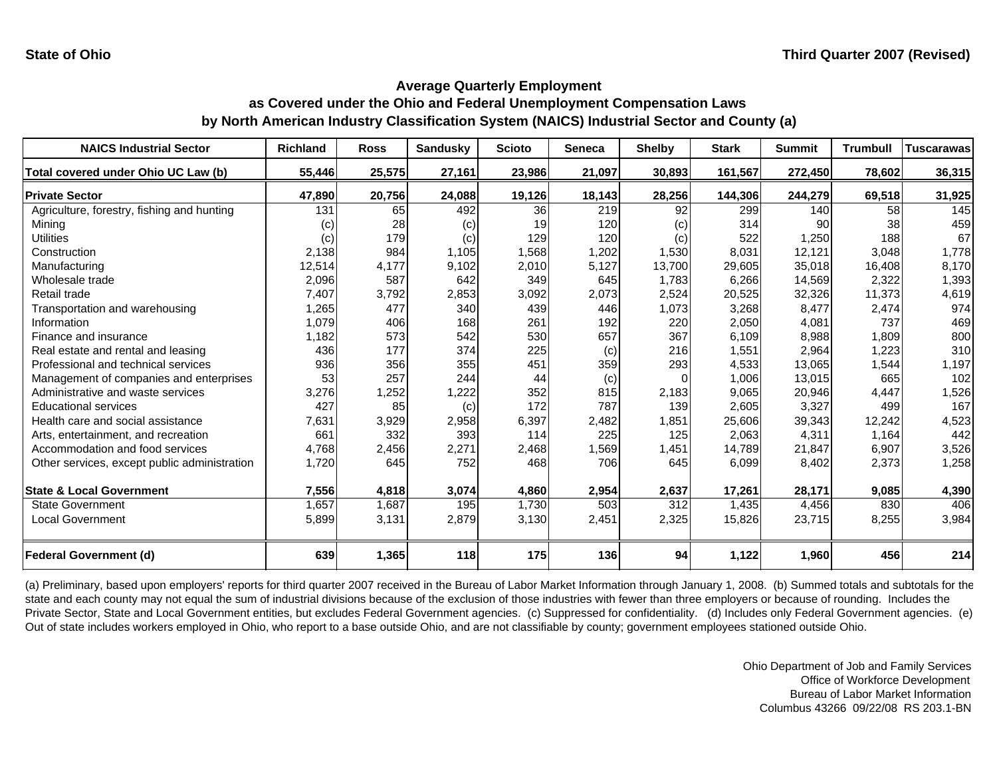| <b>NAICS Industrial Sector</b>               | <b>Richland</b> | <b>Ross</b> | <b>Sandusky</b> | <b>Scioto</b> | <b>Seneca</b> | <b>Shelby</b> | <b>Stark</b> | <b>Summit</b> | <b>Trumbull</b> | Tuscarawas |
|----------------------------------------------|-----------------|-------------|-----------------|---------------|---------------|---------------|--------------|---------------|-----------------|------------|
| Total covered under Ohio UC Law (b)          | 55,446          | 25,575      | 27,161          | 23,986        | 21,097        | 30,893        | 161,567      | 272,450       | 78,602          | 36,315     |
| <b>Private Sector</b>                        | 47,890          | 20,756      | 24,088          | 19,126        | 18,143        | 28,256        | 144,306      | 244,279       | 69,518          | 31,925     |
| Agriculture, forestry, fishing and hunting   | 131             | 65          | 492             | 36            | 219           | 92            | 299          | 140           | 58              | 145        |
| Mining                                       | (c)             | 28          | (c)             | 19            | 120           | (c)           | 314          | 90            | 38              | 459        |
| <b>Utilities</b>                             | (c)             | 179         | (c)             | 129           | 120           | (c)           | 522          | 1,250         | 188             | 67         |
| Construction                                 | 2,138           | 984         | 1,105           | 1,568         | 1,202         | 1,530         | 8,031        | 12,121        | 3,048           | 1,778      |
| Manufacturing                                | 12,514          | 4,177       | 9,102           | 2,010         | 5,127         | 13,700        | 29,605       | 35,018        | 16,408          | 8,170      |
| Wholesale trade                              | 2,096           | 587         | 642             | 349           | 645           | 1,783         | 6,266        | 14,569        | 2,322           | 1,393      |
| Retail trade                                 | 7,407           | 3,792       | 2,853           | 3,092         | 2,073         | 2,524         | 20,525       | 32,326        | 11,373          | 4,619      |
| Transportation and warehousing               | 1,265           | 477         | 340             | 439           | 446           | 1,073         | 3,268        | 8,477         | 2,474           | 974        |
| Information                                  | 1,079           | 406         | 168             | 261           | 192           | 220           | 2,050        | 4,081         | 737             | 469        |
| Finance and insurance                        | 1,182           | 573         | 542             | 530           | 657           | 367           | 6,109        | 8,988         | 1,809           | 800        |
| Real estate and rental and leasing           | 436             | 177         | 374             | 225           | (c)           | 216           | 1,551        | 2,964         | 1,223           | 310        |
| Professional and technical services          | 936             | 356         | 355             | 451           | 359           | 293           | 4,533        | 13,065        | 1,544           | 1,197      |
| Management of companies and enterprises      | 53              | 257         | 244             | 44            | (c)           |               | 1,006        | 13,015        | 665             | 102        |
| Administrative and waste services            | 3,276           | 1,252       | 1,222           | 352           | 815           | 2,183         | 9,065        | 20,946        | 4,447           | 1,526      |
| <b>Educational services</b>                  | 427             | 85          | (c)             | 172           | 787           | 139           | 2,605        | 3,327         | 499             | 167        |
| Health care and social assistance            | 7,631           | 3,929       | 2,958           | 6,397         | 2,482         | 1,851         | 25,606       | 39,343        | 12,242          | 4,523      |
| Arts, entertainment, and recreation          | 661             | 332         | 393             | 114           | 225           | 125           | 2,063        | 4,311         | 1,164           | 442        |
| Accommodation and food services              | 4,768           | 2,456       | 2,271           | 2,468         | 1,569         | 1,451         | 14,789       | 21,847        | 6,907           | 3,526      |
| Other services, except public administration | 1,720           | 645         | 752             | 468           | 706           | 645           | 6,099        | 8,402         | 2,373           | 1,258      |
| <b>State &amp; Local Government</b>          | 7,556           | 4,818       | 3,074           | 4,860         | 2,954         | 2,637         | 17,261       | 28,171        | 9,085           | 4,390      |
| <b>State Government</b>                      | 1,657           | 1,687       | 195             | 1,730         | 503           | 312           | 1,435        | 4,456         | 830             | 406        |
| <b>Local Government</b>                      | 5,899           | 3,131       | 2,879           | 3,130         | 2,451         | 2,325         | 15,826       | 23,715        | 8,255           | 3,984      |
| <b>Federal Government (d)</b>                | 639             | 1,365       | 118             | 175           | 136           | 94            | 1,122        | 1,960         | 456             | 214        |

(a) Preliminary, based upon employers' reports for third quarter 2007 received in the Bureau of Labor Market Information through January 1, 2008. (b) Summed totals and subtotals for the state and each county may not equal the sum of industrial divisions because of the exclusion of those industries with fewer than three employers or because of rounding. Includes the Private Sector, State and Local Government entities, but excludes Federal Government agencies. (c) Suppressed for confidentiality. (d) Includes only Federal Government agencies. (e) Out of state includes workers employed in Ohio, who report to a base outside Ohio, and are not classifiable by county; government employees stationed outside Ohio.

> Ohio Department of Job and Family Services Office of Workforce Development Bureau of Labor Market InformationColumbus 43266 09/22/08 RS 203.1-BN